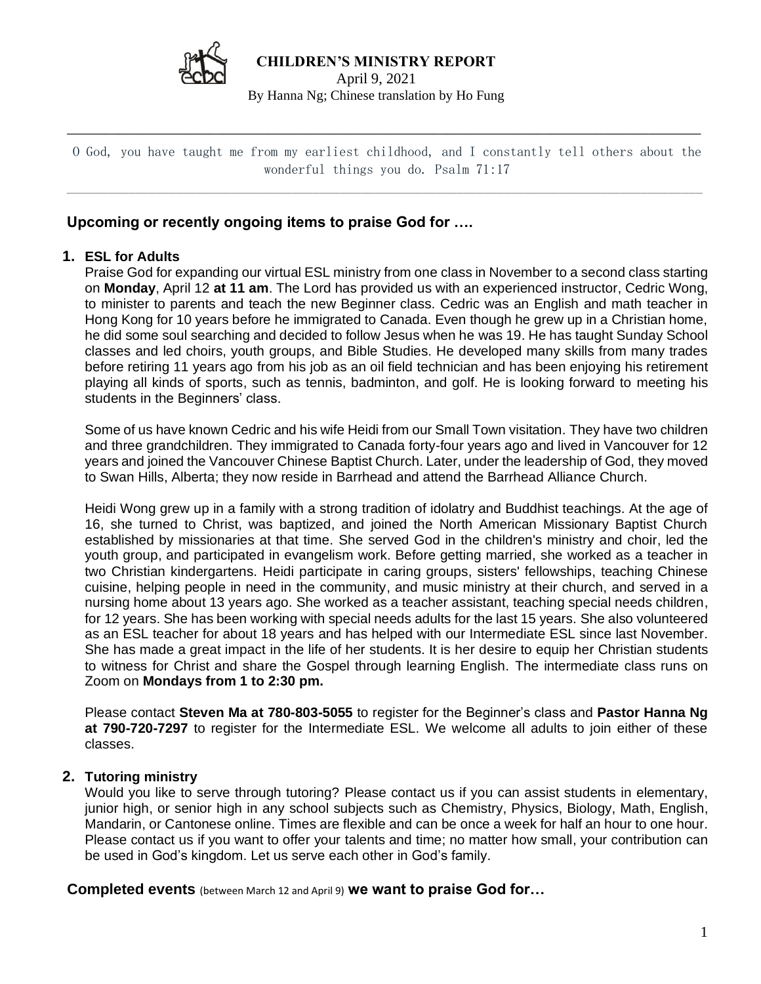

**CHILDREN'S MINISTRY REPORT** 

April 9, 2021 By Hanna Ng; Chinese translation by Ho Fung

 $\overline{\phantom{a}}$  ,  $\overline{\phantom{a}}$  ,  $\overline{\phantom{a}}$  ,  $\overline{\phantom{a}}$  ,  $\overline{\phantom{a}}$  ,  $\overline{\phantom{a}}$  ,  $\overline{\phantom{a}}$  ,  $\overline{\phantom{a}}$  ,  $\overline{\phantom{a}}$  ,  $\overline{\phantom{a}}$  ,  $\overline{\phantom{a}}$  ,  $\overline{\phantom{a}}$  ,  $\overline{\phantom{a}}$  ,  $\overline{\phantom{a}}$  ,  $\overline{\phantom{a}}$  ,  $\overline{\phantom{a}}$ 

O God, you have taught me from my earliest childhood, and I constantly tell others about the wonderful things you do. Psalm 71:17

 $\_$ 

# **Upcoming or recently ongoing items to praise God for ….**

### **1. ESL for Adults**

Praise God for expanding our virtual ESL ministry from one class in November to a second class starting on **Monday**, April 12 **at 11 am**. The Lord has provided us with an experienced instructor, Cedric Wong, to minister to parents and teach the new Beginner class. Cedric was an English and math teacher in Hong Kong for 10 years before he immigrated to Canada. Even though he grew up in a Christian home, he did some soul searching and decided to follow Jesus when he was 19. He has taught Sunday School classes and led choirs, youth groups, and Bible Studies. He developed many skills from many trades before retiring 11 years ago from his job as an oil field technician and has been enjoying his retirement playing all kinds of sports, such as tennis, badminton, and golf. He is looking forward to meeting his students in the Beginners' class.

Some of us have known Cedric and his wife Heidi from our Small Town visitation. They have two children and three grandchildren. They immigrated to Canada forty-four years ago and lived in Vancouver for 12 years and joined the Vancouver Chinese Baptist Church. Later, under the leadership of God, they moved to Swan Hills, Alberta; they now reside in Barrhead and attend the Barrhead Alliance Church.

Heidi Wong grew up in a family with a strong tradition of idolatry and Buddhist teachings. At the age of 16, she turned to Christ, was baptized, and joined the North American Missionary Baptist Church established by missionaries at that time. She served God in the children's ministry and choir, led the youth group, and participated in evangelism work. Before getting married, she worked as a teacher in two Christian kindergartens. Heidi participate in caring groups, sisters' fellowships, teaching Chinese cuisine, helping people in need in the community, and music ministry at their church, and served in a nursing home about 13 years ago. She worked as a teacher assistant, teaching special needs children, for 12 years. She has been working with special needs adults for the last 15 years. She also volunteered as an ESL teacher for about 18 years and has helped with our Intermediate ESL since last November. She has made a great impact in the life of her students. It is her desire to equip her Christian students to witness for Christ and share the Gospel through learning English. The intermediate class runs on Zoom on **Mondays from 1 to 2:30 pm.** 

Please contact **Steven Ma at 780-803-5055** to register for the Beginner's class and **Pastor Hanna Ng at 790-720-7297** to register for the Intermediate ESL. We welcome all adults to join either of these classes.

### **2. Tutoring ministry**

Would you like to serve through tutoring? Please contact us if you can assist students in elementary, junior high, or senior high in any school subjects such as Chemistry, Physics, Biology, Math, English, Mandarin, or Cantonese online. Times are flexible and can be once a week for half an hour to one hour. Please contact us if you want to offer your talents and time; no matter how small, your contribution can be used in God's kingdom. Let us serve each other in God's family.

**Completed events** (between March 12 and April 9) **we want to praise God for…**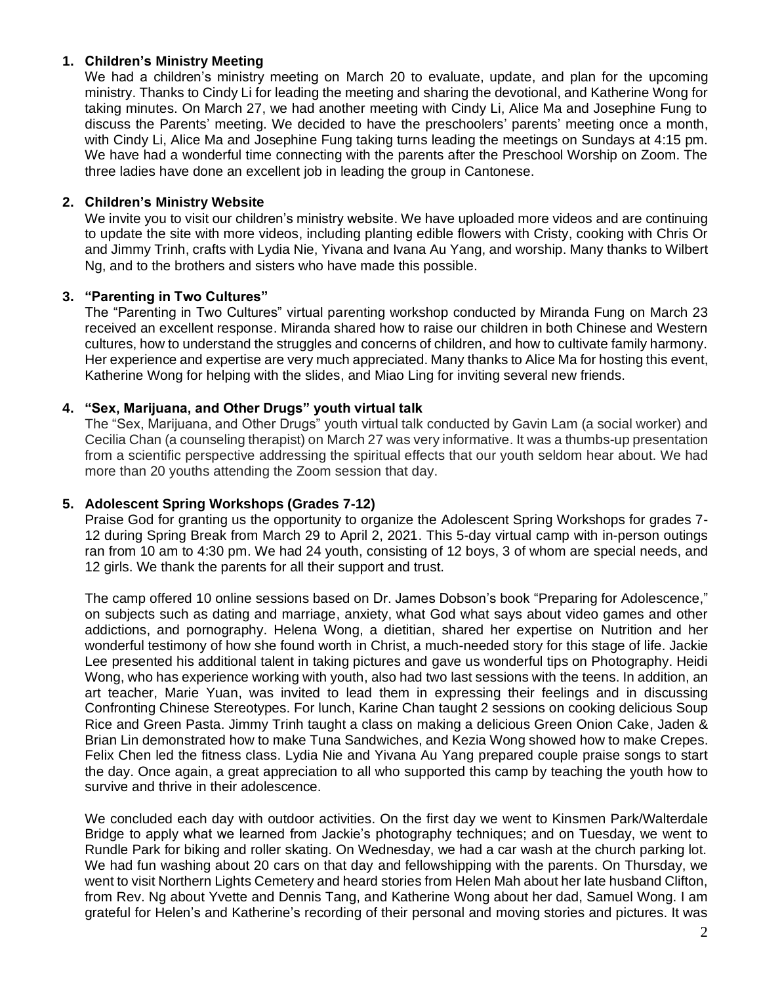## **1. Children's Ministry Meeting**

We had a children's ministry meeting on March 20 to evaluate, update, and plan for the upcoming ministry. Thanks to Cindy Li for leading the meeting and sharing the devotional, and Katherine Wong for taking minutes. On March 27, we had another meeting with Cindy Li, Alice Ma and Josephine Fung to discuss the Parents' meeting. We decided to have the preschoolers' parents' meeting once a month, with Cindy Li, Alice Ma and Josephine Fung taking turns leading the meetings on Sundays at 4:15 pm. We have had a wonderful time connecting with the parents after the Preschool Worship on Zoom. The three ladies have done an excellent job in leading the group in Cantonese.

### **2. Children's Ministry Website**

We invite you to visit our children's ministry website. We have uploaded more videos and are continuing to update the site with more videos, including planting edible flowers with Cristy, cooking with Chris Or and Jimmy Trinh, crafts with Lydia Nie, Yivana and Ivana Au Yang, and worship. Many thanks to Wilbert Ng, and to the brothers and sisters who have made this possible.

### **3. "Parenting in Two Cultures"**

The "Parenting in Two Cultures" virtual parenting workshop conducted by Miranda Fung on March 23 received an excellent response. Miranda shared how to raise our children in both Chinese and Western cultures, how to understand the struggles and concerns of children, and how to cultivate family harmony. Her experience and expertise are very much appreciated. Many thanks to Alice Ma for hosting this event, Katherine Wong for helping with the slides, and Miao Ling for inviting several new friends.

## **4. "Sex, Marijuana, and Other Drugs" youth virtual talk**

The "Sex, Marijuana, and Other Drugs" youth virtual talk conducted by Gavin Lam (a social worker) and Cecilia Chan (a counseling therapist) on March 27 was very informative. It was a thumbs-up presentation from a scientific perspective addressing the spiritual effects that our youth seldom hear about. We had more than 20 youths attending the Zoom session that day.

### **5. Adolescent Spring Workshops (Grades 7-12)**

Praise God for granting us the opportunity to organize the Adolescent Spring Workshops for grades 7- 12 during Spring Break from March 29 to April 2, 2021. This 5-day virtual camp with in-person outings ran from 10 am to 4:30 pm. We had 24 youth, consisting of 12 boys, 3 of whom are special needs, and 12 girls. We thank the parents for all their support and trust.

The camp offered 10 online sessions based on Dr. James Dobson's book "Preparing for Adolescence," on subjects such as dating and marriage, anxiety, what God what says about video games and other addictions, and pornography. Helena Wong, a dietitian, shared her expertise on Nutrition and her wonderful testimony of how she found worth in Christ, a much-needed story for this stage of life. Jackie Lee presented his additional talent in taking pictures and gave us wonderful tips on Photography. Heidi Wong, who has experience working with youth, also had two last sessions with the teens. In addition, an art teacher, Marie Yuan, was invited to lead them in expressing their feelings and in discussing Confronting Chinese Stereotypes. For lunch, Karine Chan taught 2 sessions on cooking delicious Soup Rice and Green Pasta. Jimmy Trinh taught a class on making a delicious Green Onion Cake, Jaden & Brian Lin demonstrated how to make Tuna Sandwiches, and Kezia Wong showed how to make Crepes. Felix Chen led the fitness class. Lydia Nie and Yivana Au Yang prepared couple praise songs to start the day. Once again, a great appreciation to all who supported this camp by teaching the youth how to survive and thrive in their adolescence.

We concluded each day with outdoor activities. On the first day we went to Kinsmen Park/Walterdale Bridge to apply what we learned from Jackie's photography techniques; and on Tuesday, we went to Rundle Park for biking and roller skating. On Wednesday, we had a car wash at the church parking lot. We had fun washing about 20 cars on that day and fellowshipping with the parents. On Thursday, we went to visit Northern Lights Cemetery and heard stories from Helen Mah about her late husband Clifton, from Rev. Ng about Yvette and Dennis Tang, and Katherine Wong about her dad, Samuel Wong. I am grateful for Helen's and Katherine's recording of their personal and moving stories and pictures. It was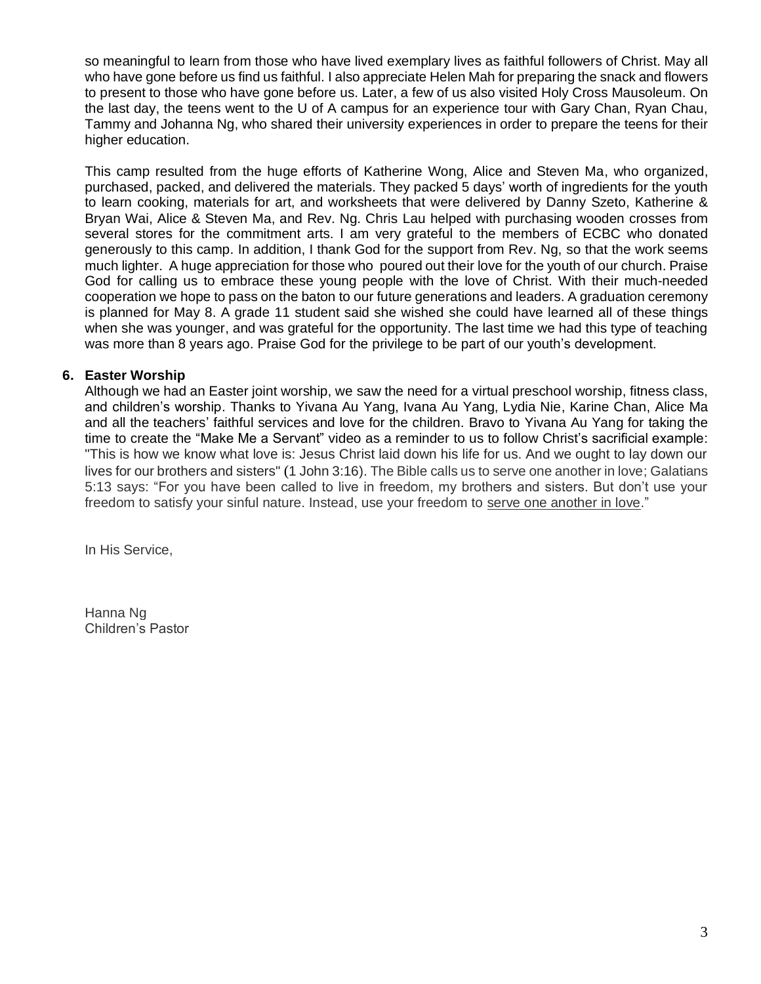so meaningful to learn from those who have lived exemplary lives as faithful followers of Christ. May all who have gone before us find us faithful. I also appreciate Helen Mah for preparing the snack and flowers to present to those who have gone before us. Later, a few of us also visited Holy Cross Mausoleum. On the last day, the teens went to the U of A campus for an experience tour with Gary Chan, Ryan Chau, Tammy and Johanna Ng, who shared their university experiences in order to prepare the teens for their higher education.

This camp resulted from the huge efforts of Katherine Wong, Alice and Steven Ma, who organized, purchased, packed, and delivered the materials. They packed 5 days' worth of ingredients for the youth to learn cooking, materials for art, and worksheets that were delivered by Danny Szeto, Katherine & Bryan Wai, Alice & Steven Ma, and Rev. Ng. Chris Lau helped with purchasing wooden crosses from several stores for the commitment arts. I am very grateful to the members of ECBC who donated generously to this camp. In addition, I thank God for the support from Rev. Ng, so that the work seems much lighter. A huge appreciation for those who poured out their love for the youth of our church. Praise God for calling us to embrace these young people with the love of Christ. With their much-needed cooperation we hope to pass on the baton to our future generations and leaders. A graduation ceremony is planned for May 8. A grade 11 student said she wished she could have learned all of these things when she was younger, and was grateful for the opportunity. The last time we had this type of teaching was more than 8 years ago. Praise God for the privilege to be part of our youth's development.

#### **6. Easter Worship**

Although we had an Easter joint worship, we saw the need for a virtual preschool worship, fitness class, and children's worship. Thanks to Yivana Au Yang, Ivana Au Yang, Lydia Nie, Karine Chan, Alice Ma and all the teachers' faithful services and love for the children. Bravo to Yivana Au Yang for taking the time to create the "Make Me a Servant" video as a reminder to us to follow Christ's sacrificial example: "This is how we know what love is: Jesus Christ laid down his life for us. And we ought to lay down our lives for our brothers and sisters" (1 John 3:16). The Bible calls us to serve one another in love; Galatians 5:13 says: "For you have been called to live in freedom, my brothers and sisters. But don't use your freedom to satisfy your sinful nature. Instead, use your freedom to serve one another in love."

In His Service,

Hanna Ng Children's Pastor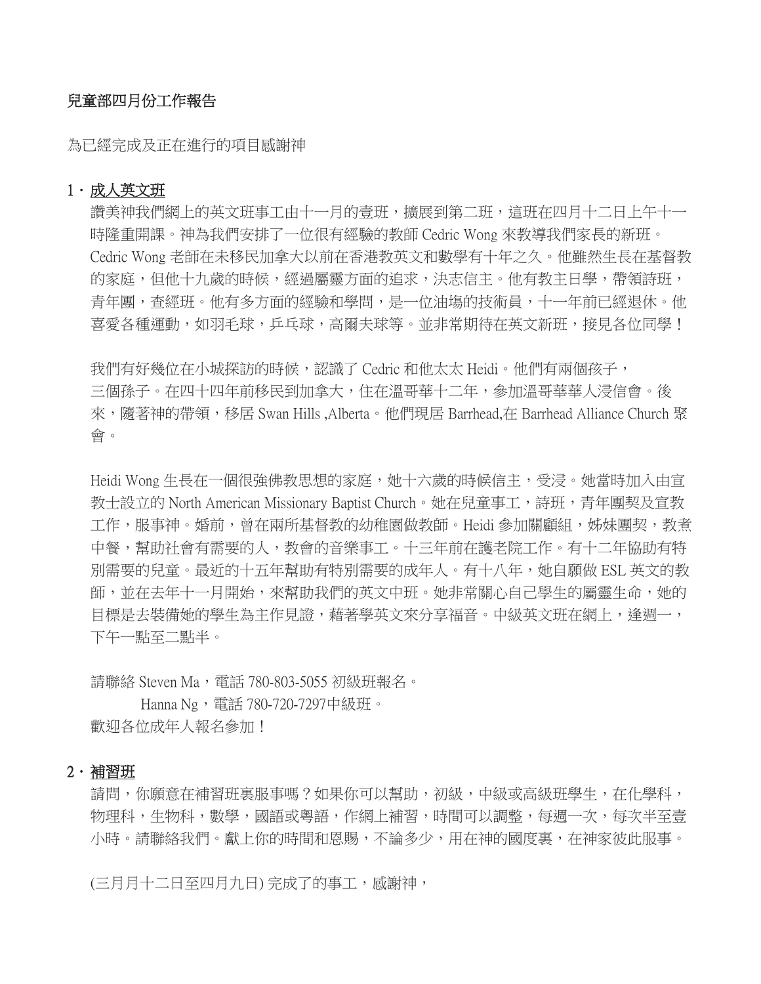# 兒童部四月份工作報告

為已經完成及正在進行的項目感謝神

#### 1. 成人英文班

讚美神我們網上的英文班事工由十一月的壹班,擴展到第二班,這班在四月十二日上午十一 時隆重開課。神為我們安排了一位很有經驗的教師 Cedric Wong 來教導我們家長的新班。 Cedric Wong 老師在未移民加拿大以前在香港教英文和數學有十年之久。他雖然生長在基督教 的家庭,但他十九歲的時候,經過屬靈方面的追求,決志信主。他有教主日學,帶領詩班, 青年團,查經班。他有多方面的經驗和學問,是一位油塲的技術員,十一年前已經退休。他 喜愛各種運動,如羽毛球,乒乓球,高爾夫球等。並非常期待在英文新班,接見各位同學!

我們有好幾位在小城探訪的時候,認識了 Cedric 和他太太 Heidi。他們有兩個孩子, 三個孫子。在四十四年前移民到加拿大,住在溫哥華十二年,參加溫哥華華人浸信會。後 來,隨著神的帶領,移居 Swan Hills ,Alberta。他們現居 Barrhead,在 Barrhead Alliance Church 聚 會。

Heidi Wong 生長在一個很強佛教思想的家庭,她十六歲的時候信主,受浸。她當時加入由宣 教士設立的 North American Missionary Baptist Church。她在兒童事工,詩班,青年團契及宣教 工作,服事神。婚前,曾在兩所基督教的幼稚園做教師。Heidi 參加關顧組,姊妹團契,教煮 中餐,幫助社會有需要的人,教會的音樂事工。十三年前在護老院工作。有十二年協助有特 別需要的兒童。最近的十五年幫助有特別需要的成年人。有十八年,她自願做 ESL 英文的教 師,並在去年十一月開始,來幫助我們的英文中班。她非常關心自己學生的屬靈生命,她的 目標是去裝備她的學生為主作見證,藉著學英文來分享福音。中級英文班在網上,逢週一, 下午一點至二點半。

請聯絡 Steven Ma,電話 780-803-5055 初級班報名。

Hanna Ng, 電話 780-720-7297中級班。 歡迎各位成年人報名參加!

#### 2.補習班

請問,你願意在補習班裏服事嗎?如果你可以幫助,初級,中級或高級班學生,在化學科, 物理科,生物科,數學,國語或粵語,作網上補習,時間可以調整,每週一次,每次半至壹 小時。請聯絡我們。獻上你的時間和恩賜,不論多少,用在神的國度裏,在神家彼此服事。

(三月月十二日至四月九日) 完成了的事工, 感謝神,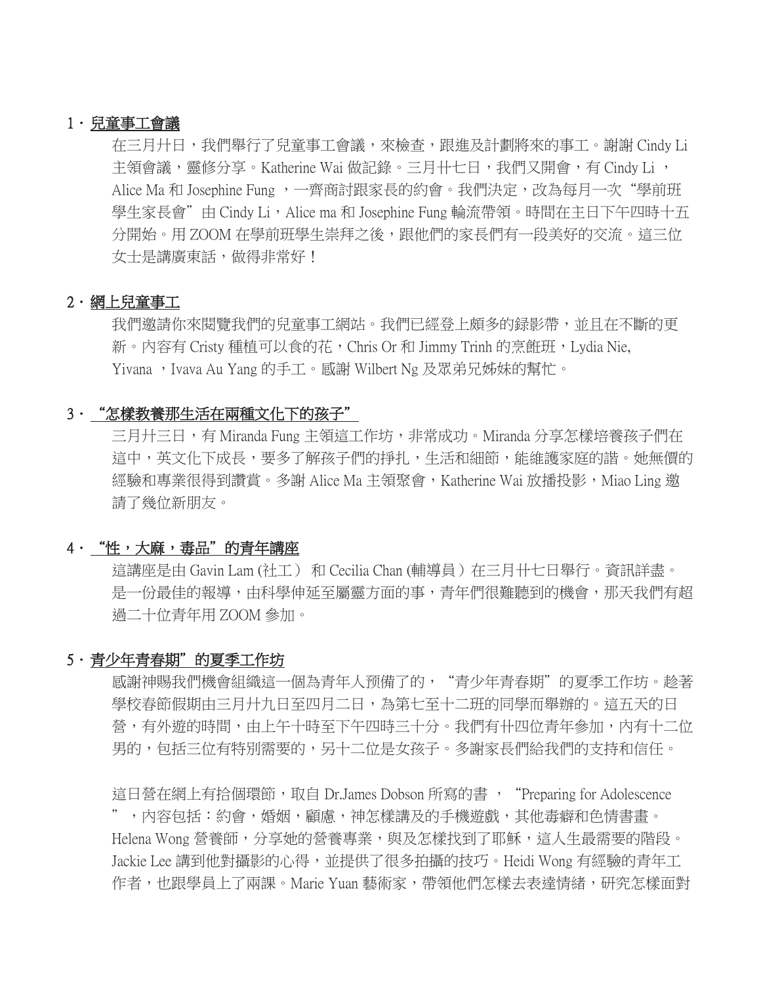### 1.兒童事工會議

在三月廾日,我們舉行了兒童事工會議,來檢查,跟進及計劃將來的事工。謝謝 Cindy Li 主領會議,靈修分享。Katherine Wai 做記錄。三月卄七日,我們又開會,有 Cindy Li, Alice Ma 和 Josephine Fung ,一齊商討跟家長的約會。我們決定,改為每月一次"學前班 學生家長會"由 Cindy Li, Alice ma 和 Josephine Fung 輪流帶領。時間在主日下午四時十五 分開始。用 ZOOM 在學前班學生崇拜之後,跟他們的家長們有一段美好的交流。這三位 女士是講廣東話,做得非常好!

### 2.網上兒童事工

我們邀請你來閱覽我們的兒童事工網站。我們已經登上頗多的録影帶,並且在不斷的更 新。內容有 Cristy 種植可以食的花,Chris Or 和 Jimmy Trinh 的烹餁班,Lydia Nie, Yivana, Ivava Au Yang 的手工。感謝 Wilbert Ng 及眾弟兄姊妹的幫忙。

### 3."怎樣教養那生活在兩種文化下的孩子"

三月廾三日,有 Miranda Fung 主領這工作坊,非常成功。Miranda 分享怎樣培養孩子們在 這中,英文化下成長,要多了解孩子們的掙扎,生活和細節,能維護家庭的諧。她無價的 經驗和專業很得到讚賞。多謝 Alice Ma 主領聚會, Katherine Wai 放播投影, Miao Ling 邀 請了幾位新朋友。

# 4."性,大麻,毒品"的青年講座

這講座是由 Gavin Lam (社工) 和 Cecilia Chan (輔導員) 在三月十七日舉行。資訊詳盡。 是一份最佳的報導,由科學伸延至屬靈方面的事,青年們很難聽到的機會,那天我們有超 過二十位青年用 ZOOM 參加。

### 5.青少年青春期"的夏季工作坊

感謝神賜我們機會組織這一個為青年人预備了的, "青少年青春期"的夏季工作坊。趁著 學校春節假期由三月廾九日至四月二日,為第七至十二班的同學而舉辦的。這五天的日 營,有外遊的時間,由上午一時至下午四時三十分。我們有卄四位青年參加,內有十二位 男的,包括三位有特別需要的,另十二位是女孩子。多謝家長們給我們的支持和信任。

這日營在網上有拾個環節,取自 Dr.James Dobson 所寫的書 , "Preparing for Adolescence ",內容包括:約會,婚姻,顧慮,神怎樣講及的手機遊戲,其他毒癖和色情書畫。 Helena Wong 營養師,分享她的營養專業,與及怎樣找到了耶穌,這人生最需要的階段。 Jackie Lee 講到他對攝影的心得,並提供了很多拍攝的技巧。Heidi Wong 有經驗的青年工 作者,也跟學員上了兩課。Marie Yuan 藝術家,帶領他們怎樣去表達情緒,研究怎樣面對